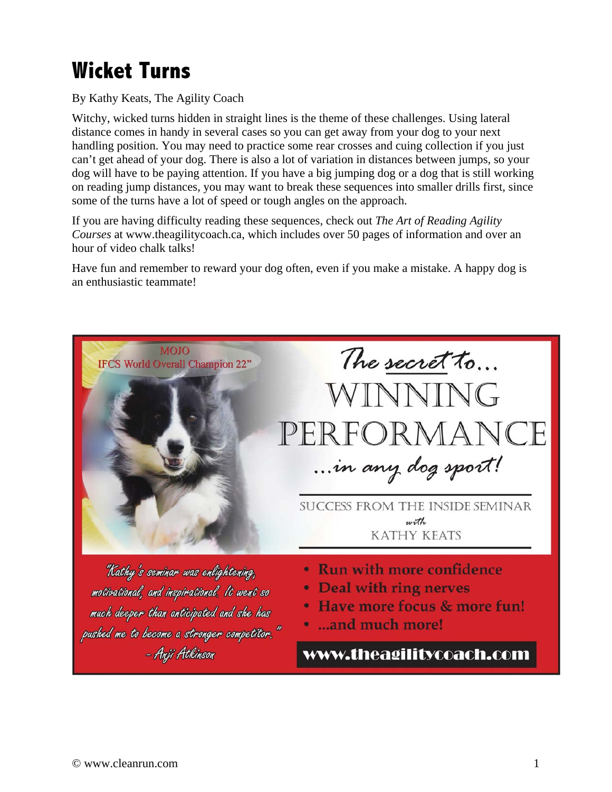## **Wicket Turns**

By Kathy Keats, The Agility Coach

Witchy, wicked turns hidden in straight lines is the theme of these challenges. Using lateral distance comes in handy in several cases so you can get away from your dog to your next handling position. You may need to practice some rear crosses and cuing collection if you just can't get ahead of your dog. There is also a lot of variation in distances between jumps, so your dog will have to be paying attention. If you have a big jumping dog or a dog that is still working on reading jump distances, you may want to break these sequences into smaller drills first, since some of the turns have a lot of speed or tough angles on the approach.

If you are having difficulty reading these sequences, check out *The Art of Reading Agility Courses* at www.theagilitycoach.ca, which includes over 50 pages of information and over an hour of video chalk talks!

Have fun and remember to reward your dog often, even if you make a mistake. A happy dog is an enthusiastic teammate!

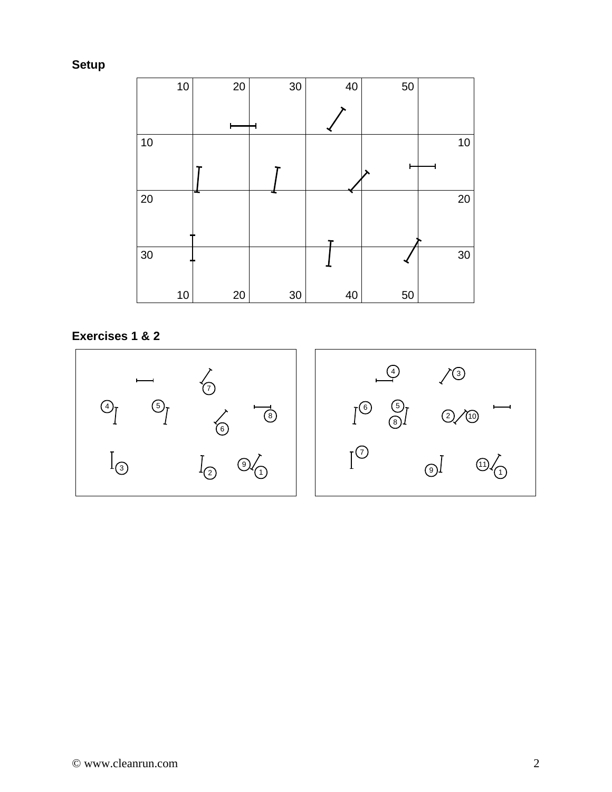**Setup** 



**Exercises 1 & 2**